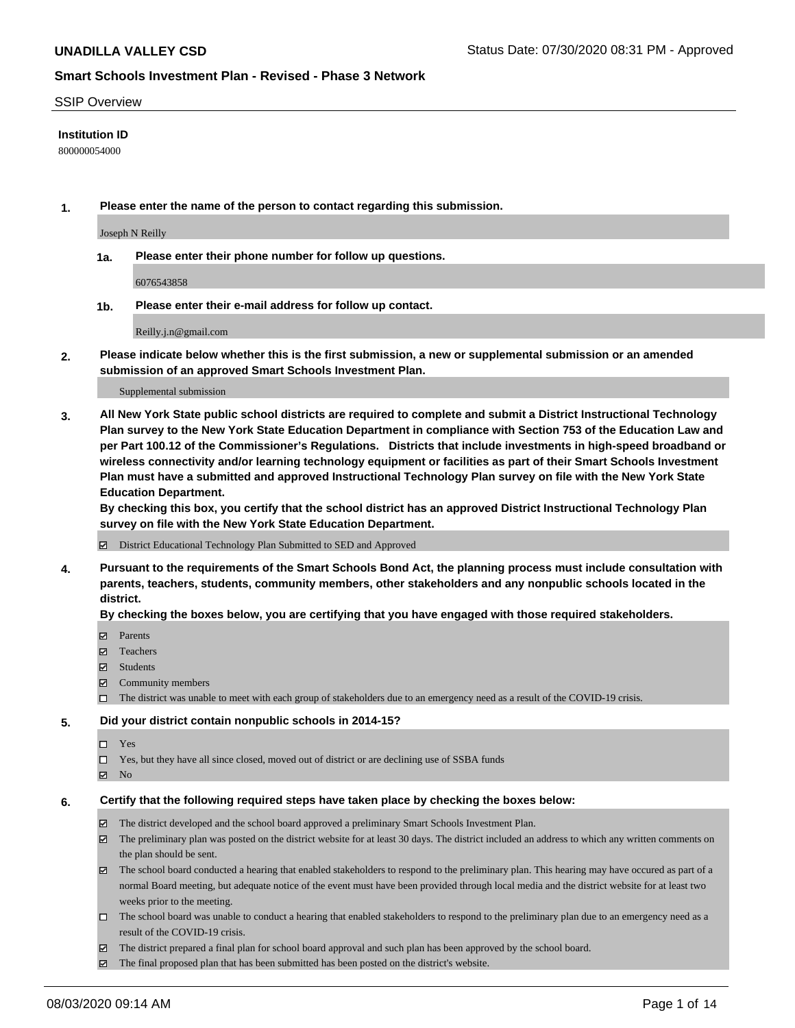#### SSIP Overview

#### **Institution ID**

800000054000

**1. Please enter the name of the person to contact regarding this submission.**

Joseph N Reilly

**1a. Please enter their phone number for follow up questions.**

6076543858

**1b. Please enter their e-mail address for follow up contact.**

Reilly.j.n@gmail.com

**2. Please indicate below whether this is the first submission, a new or supplemental submission or an amended submission of an approved Smart Schools Investment Plan.**

#### Supplemental submission

**3. All New York State public school districts are required to complete and submit a District Instructional Technology Plan survey to the New York State Education Department in compliance with Section 753 of the Education Law and per Part 100.12 of the Commissioner's Regulations. Districts that include investments in high-speed broadband or wireless connectivity and/or learning technology equipment or facilities as part of their Smart Schools Investment Plan must have a submitted and approved Instructional Technology Plan survey on file with the New York State Education Department.** 

**By checking this box, you certify that the school district has an approved District Instructional Technology Plan survey on file with the New York State Education Department.**

District Educational Technology Plan Submitted to SED and Approved

**4. Pursuant to the requirements of the Smart Schools Bond Act, the planning process must include consultation with parents, teachers, students, community members, other stakeholders and any nonpublic schools located in the district.** 

#### **By checking the boxes below, you are certifying that you have engaged with those required stakeholders.**

- **□** Parents
- Teachers
- Students
- $\boxtimes$  Community members
- The district was unable to meet with each group of stakeholders due to an emergency need as a result of the COVID-19 crisis.

#### **5. Did your district contain nonpublic schools in 2014-15?**

- $\neg$  Yes
- Yes, but they have all since closed, moved out of district or are declining use of SSBA funds
- **Z** No

#### **6. Certify that the following required steps have taken place by checking the boxes below:**

- The district developed and the school board approved a preliminary Smart Schools Investment Plan.
- $\boxtimes$  The preliminary plan was posted on the district website for at least 30 days. The district included an address to which any written comments on the plan should be sent.
- $\boxtimes$  The school board conducted a hearing that enabled stakeholders to respond to the preliminary plan. This hearing may have occured as part of a normal Board meeting, but adequate notice of the event must have been provided through local media and the district website for at least two weeks prior to the meeting.
- The school board was unable to conduct a hearing that enabled stakeholders to respond to the preliminary plan due to an emergency need as a result of the COVID-19 crisis.
- The district prepared a final plan for school board approval and such plan has been approved by the school board.
- $\boxtimes$  The final proposed plan that has been submitted has been posted on the district's website.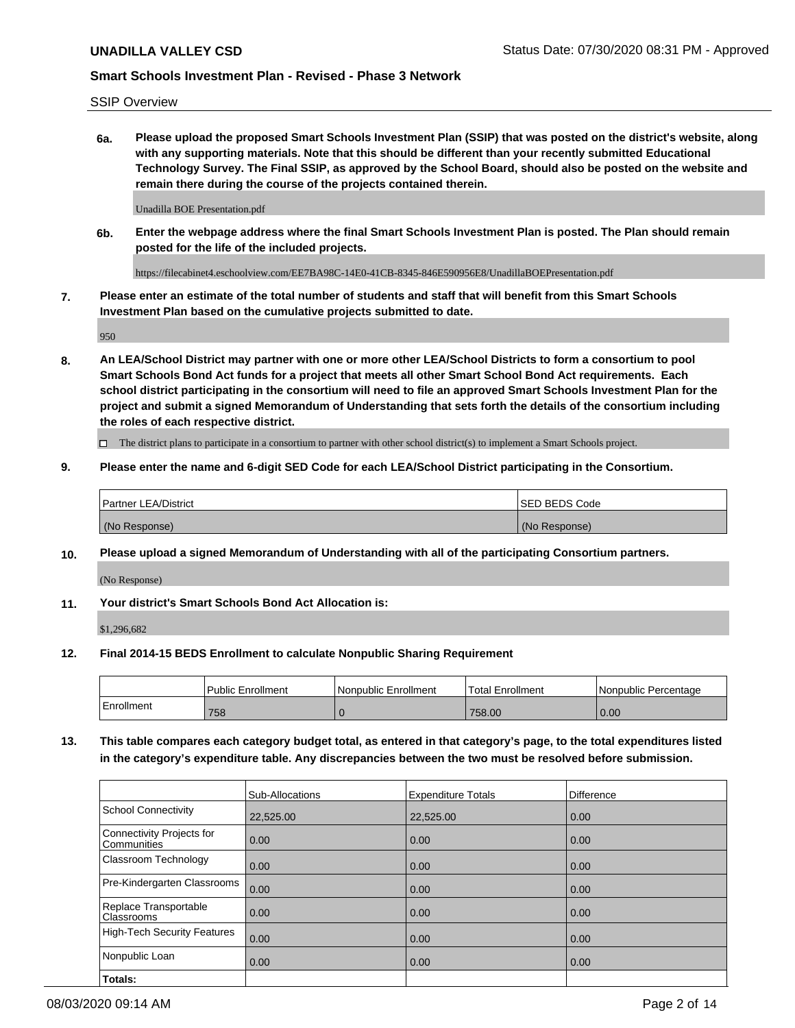SSIP Overview

**6a. Please upload the proposed Smart Schools Investment Plan (SSIP) that was posted on the district's website, along with any supporting materials. Note that this should be different than your recently submitted Educational Technology Survey. The Final SSIP, as approved by the School Board, should also be posted on the website and remain there during the course of the projects contained therein.**

Unadilla BOE Presentation.pdf

**6b. Enter the webpage address where the final Smart Schools Investment Plan is posted. The Plan should remain posted for the life of the included projects.**

https://filecabinet4.eschoolview.com/EE7BA98C-14E0-41CB-8345-846E590956E8/UnadillaBOEPresentation.pdf

**7. Please enter an estimate of the total number of students and staff that will benefit from this Smart Schools Investment Plan based on the cumulative projects submitted to date.**

950

**8. An LEA/School District may partner with one or more other LEA/School Districts to form a consortium to pool Smart Schools Bond Act funds for a project that meets all other Smart School Bond Act requirements. Each school district participating in the consortium will need to file an approved Smart Schools Investment Plan for the project and submit a signed Memorandum of Understanding that sets forth the details of the consortium including the roles of each respective district.**

 $\Box$  The district plans to participate in a consortium to partner with other school district(s) to implement a Smart Schools project.

#### **9. Please enter the name and 6-digit SED Code for each LEA/School District participating in the Consortium.**

| Partner LEA/District | <b>ISED BEDS Code</b> |
|----------------------|-----------------------|
| (No Response)        | (No Response)         |

## **10. Please upload a signed Memorandum of Understanding with all of the participating Consortium partners.**

(No Response)

## **11. Your district's Smart Schools Bond Act Allocation is:**

\$1,296,682

#### **12. Final 2014-15 BEDS Enrollment to calculate Nonpublic Sharing Requirement**

|            | <b>Public Enrollment</b> | Nonpublic Enrollment | <b>Total Enrollment</b> | l Nonpublic Percentage |
|------------|--------------------------|----------------------|-------------------------|------------------------|
| Enrollment | 758                      |                      | 758.00                  | 0.00                   |

**13. This table compares each category budget total, as entered in that category's page, to the total expenditures listed in the category's expenditure table. Any discrepancies between the two must be resolved before submission.**

|                                          | Sub-Allocations | <b>Expenditure Totals</b> | <b>Difference</b> |
|------------------------------------------|-----------------|---------------------------|-------------------|
| <b>School Connectivity</b>               | 22,525.00       | 22,525.00                 | 0.00              |
| Connectivity Projects for<br>Communities | 0.00            | 0.00                      | 0.00              |
| Classroom Technology                     | 0.00            | 0.00                      | 0.00              |
| Pre-Kindergarten Classrooms              | 0.00            | 0.00                      | 0.00              |
| Replace Transportable<br>Classrooms      | 0.00            | 0.00                      | 0.00              |
| <b>High-Tech Security Features</b>       | 0.00            | 0.00                      | 0.00              |
| Nonpublic Loan                           | 0.00            | 0.00                      | 0.00              |
| Totals:                                  |                 |                           |                   |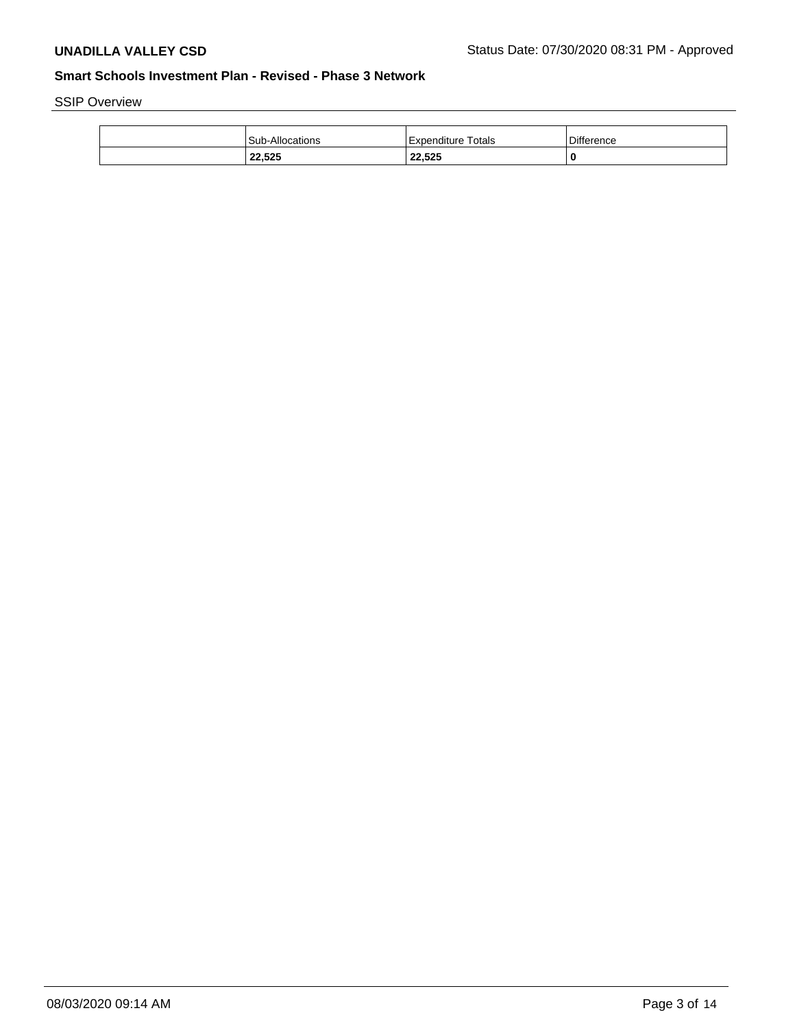SSIP Overview

| <b>Sub-Allocations</b> | Totals<br>l Expenditure | <b>Difference</b> |
|------------------------|-------------------------|-------------------|
| 22,525                 | 22,525                  | 0                 |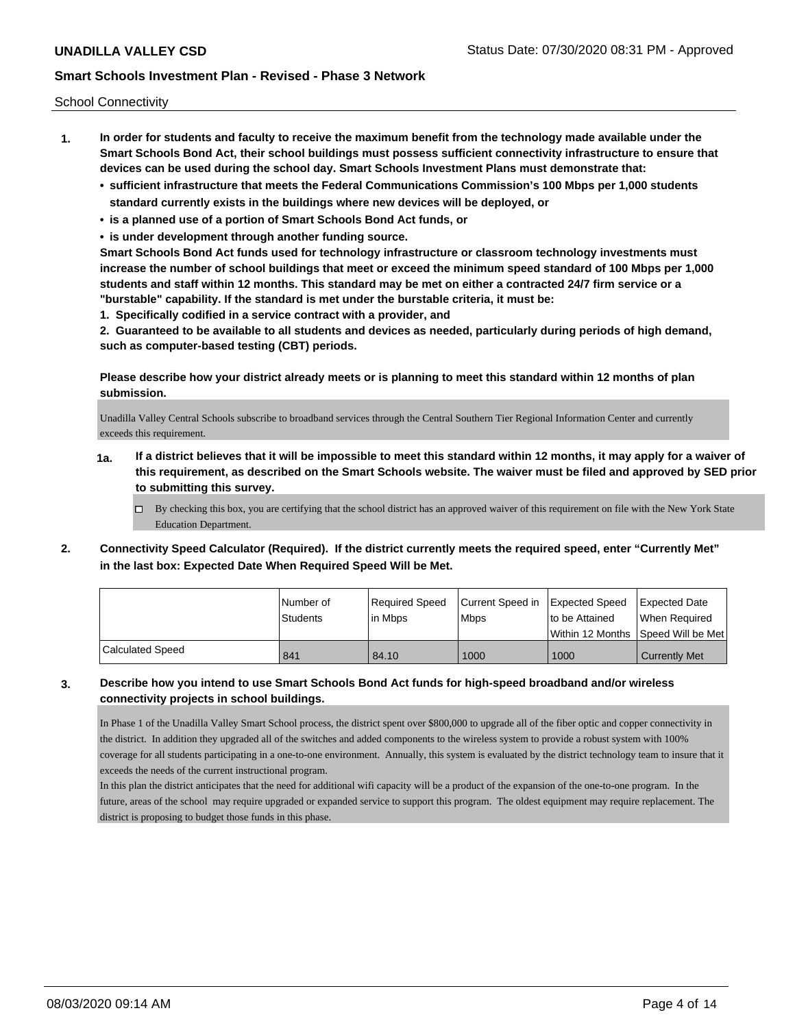School Connectivity

- **1. In order for students and faculty to receive the maximum benefit from the technology made available under the Smart Schools Bond Act, their school buildings must possess sufficient connectivity infrastructure to ensure that devices can be used during the school day. Smart Schools Investment Plans must demonstrate that:**
	- **• sufficient infrastructure that meets the Federal Communications Commission's 100 Mbps per 1,000 students standard currently exists in the buildings where new devices will be deployed, or**
	- **• is a planned use of a portion of Smart Schools Bond Act funds, or**
	- **• is under development through another funding source.**

**Smart Schools Bond Act funds used for technology infrastructure or classroom technology investments must increase the number of school buildings that meet or exceed the minimum speed standard of 100 Mbps per 1,000 students and staff within 12 months. This standard may be met on either a contracted 24/7 firm service or a "burstable" capability. If the standard is met under the burstable criteria, it must be:**

**1. Specifically codified in a service contract with a provider, and**

**2. Guaranteed to be available to all students and devices as needed, particularly during periods of high demand, such as computer-based testing (CBT) periods.**

**Please describe how your district already meets or is planning to meet this standard within 12 months of plan submission.**

Unadilla Valley Central Schools subscribe to broadband services through the Central Southern Tier Regional Information Center and currently exceeds this requirement.

- **1a. If a district believes that it will be impossible to meet this standard within 12 months, it may apply for a waiver of this requirement, as described on the Smart Schools website. The waiver must be filed and approved by SED prior to submitting this survey.**
	- $\Box$  By checking this box, you are certifying that the school district has an approved waiver of this requirement on file with the New York State Education Department.
- **2. Connectivity Speed Calculator (Required). If the district currently meets the required speed, enter "Currently Met" in the last box: Expected Date When Required Speed Will be Met.**

|                  | INumber of      | Required Speed | Current Speed in Expected Speed |                | Expected Date                        |
|------------------|-----------------|----------------|---------------------------------|----------------|--------------------------------------|
|                  | <b>Students</b> | l in Mbps      | <b>Mbps</b>                     | to be Attained | When Required                        |
|                  |                 |                |                                 |                | Within 12 Months 1Speed Will be Met1 |
| Calculated Speed | 841             | 84.10          | 1000                            | 1000           | <b>Currently Met</b>                 |

## **3. Describe how you intend to use Smart Schools Bond Act funds for high-speed broadband and/or wireless connectivity projects in school buildings.**

In Phase 1 of the Unadilla Valley Smart School process, the district spent over \$800,000 to upgrade all of the fiber optic and copper connectivity in the district. In addition they upgraded all of the switches and added components to the wireless system to provide a robust system with 100% coverage for all students participating in a one-to-one environment. Annually, this system is evaluated by the district technology team to insure that it exceeds the needs of the current instructional program.

In this plan the district anticipates that the need for additional wifi capacity will be a product of the expansion of the one-to-one program. In the future, areas of the school may require upgraded or expanded service to support this program. The oldest equipment may require replacement. The district is proposing to budget those funds in this phase.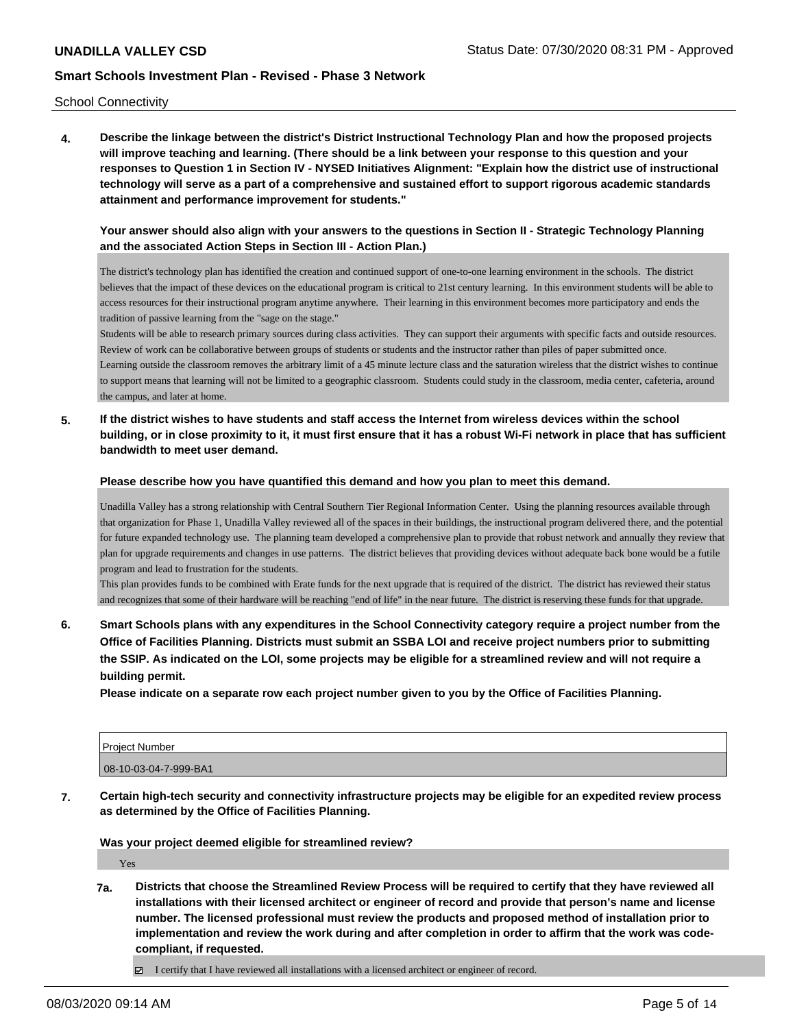School Connectivity

**4. Describe the linkage between the district's District Instructional Technology Plan and how the proposed projects will improve teaching and learning. (There should be a link between your response to this question and your responses to Question 1 in Section IV - NYSED Initiatives Alignment: "Explain how the district use of instructional technology will serve as a part of a comprehensive and sustained effort to support rigorous academic standards attainment and performance improvement for students."** 

## **Your answer should also align with your answers to the questions in Section II - Strategic Technology Planning and the associated Action Steps in Section III - Action Plan.)**

The district's technology plan has identified the creation and continued support of one-to-one learning environment in the schools. The district believes that the impact of these devices on the educational program is critical to 21st century learning. In this environment students will be able to access resources for their instructional program anytime anywhere. Their learning in this environment becomes more participatory and ends the tradition of passive learning from the "sage on the stage."

Students will be able to research primary sources during class activities. They can support their arguments with specific facts and outside resources. Review of work can be collaborative between groups of students or students and the instructor rather than piles of paper submitted once. Learning outside the classroom removes the arbitrary limit of a 45 minute lecture class and the saturation wireless that the district wishes to continue to support means that learning will not be limited to a geographic classroom. Students could study in the classroom, media center, cafeteria, around the campus, and later at home.

**5. If the district wishes to have students and staff access the Internet from wireless devices within the school building, or in close proximity to it, it must first ensure that it has a robust Wi-Fi network in place that has sufficient bandwidth to meet user demand.**

**Please describe how you have quantified this demand and how you plan to meet this demand.**

Unadilla Valley has a strong relationship with Central Southern Tier Regional Information Center. Using the planning resources available through that organization for Phase 1, Unadilla Valley reviewed all of the spaces in their buildings, the instructional program delivered there, and the potential for future expanded technology use. The planning team developed a comprehensive plan to provide that robust network and annually they review that plan for upgrade requirements and changes in use patterns. The district believes that providing devices without adequate back bone would be a futile program and lead to frustration for the students.

This plan provides funds to be combined with Erate funds for the next upgrade that is required of the district. The district has reviewed their status and recognizes that some of their hardware will be reaching "end of life" in the near future. The district is reserving these funds for that upgrade.

**6. Smart Schools plans with any expenditures in the School Connectivity category require a project number from the Office of Facilities Planning. Districts must submit an SSBA LOI and receive project numbers prior to submitting the SSIP. As indicated on the LOI, some projects may be eligible for a streamlined review and will not require a building permit.**

**Please indicate on a separate row each project number given to you by the Office of Facilities Planning.**

| <b>Project Number</b> |  |
|-----------------------|--|
| 08-10-03-04-7-999-BA1 |  |

**7. Certain high-tech security and connectivity infrastructure projects may be eligible for an expedited review process as determined by the Office of Facilities Planning.**

**Was your project deemed eligible for streamlined review?**

Yes

- **7a. Districts that choose the Streamlined Review Process will be required to certify that they have reviewed all installations with their licensed architect or engineer of record and provide that person's name and license number. The licensed professional must review the products and proposed method of installation prior to implementation and review the work during and after completion in order to affirm that the work was codecompliant, if requested.**
	- $\boxtimes$  I certify that I have reviewed all installations with a licensed architect or engineer of record.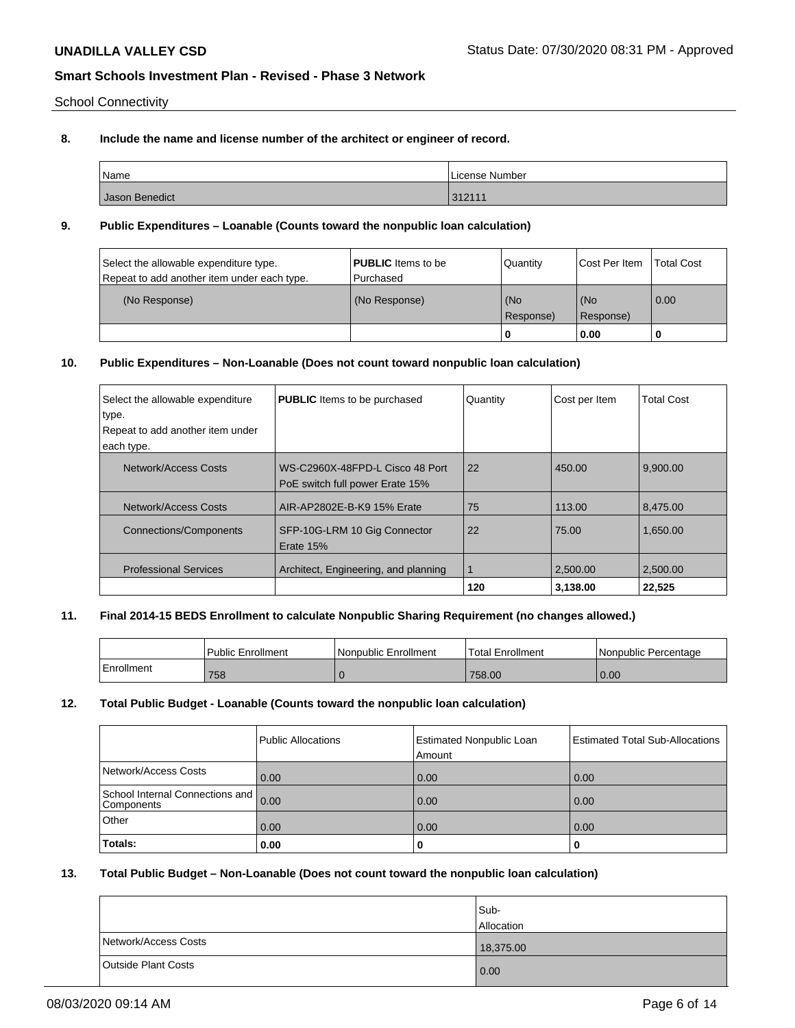School Connectivity

# **8. Include the name and license number of the architect or engineer of record.**

| Name           | License Number |
|----------------|----------------|
| Jason Benedict | 212111<br>3211 |

## **9. Public Expenditures – Loanable (Counts toward the nonpublic loan calculation)**

| Select the allowable expenditure type.<br>Repeat to add another item under each type. | <b>PUBLIC</b> Items to be<br>Purchased | Quantity           | Cost Per Item    | <b>Total Cost</b> |
|---------------------------------------------------------------------------------------|----------------------------------------|--------------------|------------------|-------------------|
| (No Response)                                                                         | (No Response)                          | l (No<br>Response) | (No<br>Response) | $\overline{0.00}$ |
|                                                                                       |                                        |                    | 0.00             |                   |

# **10. Public Expenditures – Non-Loanable (Does not count toward nonpublic loan calculation)**

| Select the allowable expenditure<br>type. | <b>PUBLIC</b> Items to be purchased                                | Quantity | Cost per Item | <b>Total Cost</b> |
|-------------------------------------------|--------------------------------------------------------------------|----------|---------------|-------------------|
| Repeat to add another item under          |                                                                    |          |               |                   |
| each type.                                |                                                                    |          |               |                   |
| Network/Access Costs                      | WS-C2960X-48FPD-L Cisco 48 Port<br>PoE switch full power Erate 15% | 22       | 450.00        | 9,900.00          |
| Network/Access Costs                      | AIR-AP2802E-B-K9 15% Erate                                         | 75       | 113.00        | 8,475.00          |
| <b>Connections/Components</b>             | SFP-10G-LRM 10 Gig Connector<br>Erate 15%                          | 22       | 75.00         | 1,650.00          |
| <b>Professional Services</b>              | Architect, Engineering, and planning                               | 1        | 2.500.00      | 2.500.00          |
|                                           |                                                                    | 120      | 3.138.00      | 22,525            |

## **11. Final 2014-15 BEDS Enrollment to calculate Nonpublic Sharing Requirement (no changes allowed.)**

|            | Public Enrollment | Nonpublic Enrollment | <b>Total Enrollment</b> | l Nonpublic Percentage |
|------------|-------------------|----------------------|-------------------------|------------------------|
| Enrollment | 758               |                      | 758.00                  | 0.00                   |

# **12. Total Public Budget - Loanable (Counts toward the nonpublic loan calculation)**

|                                                    | Public Allocations | <b>Estimated Nonpublic Loan</b><br>Amount | <b>Estimated Total Sub-Allocations</b> |
|----------------------------------------------------|--------------------|-------------------------------------------|----------------------------------------|
| Network/Access Costs                               | 0.00               | 0.00                                      | 0.00                                   |
| School Internal Connections and 0.00<br>Components |                    | 0.00                                      | 0.00                                   |
| Other                                              | 0.00               | 0.00                                      | 0.00                                   |
| Totals:                                            | 0.00               |                                           |                                        |

## **13. Total Public Budget – Non-Loanable (Does not count toward the nonpublic loan calculation)**

|                            | Sub-       |
|----------------------------|------------|
|                            | Allocation |
| Network/Access Costs       | 18,375.00  |
| <b>Outside Plant Costs</b> | 0.00       |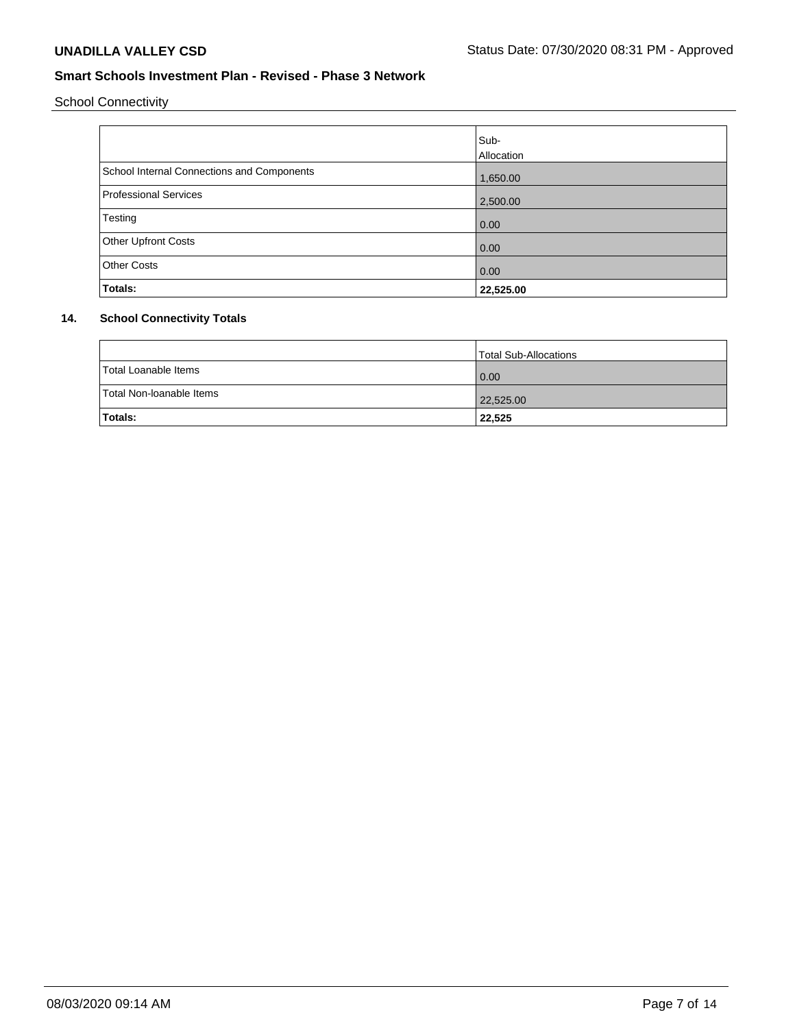School Connectivity

|                                            | Sub-<br>Allocation |
|--------------------------------------------|--------------------|
| School Internal Connections and Components | 1,650.00           |
| Professional Services                      | 2,500.00           |
| Testing                                    | 0.00               |
| <b>Other Upfront Costs</b>                 | 0.00               |
| <b>Other Costs</b>                         | 0.00               |
| Totals:                                    | 22,525.00          |

# **14. School Connectivity Totals**

|                          | Total Sub-Allocations |
|--------------------------|-----------------------|
| Total Loanable Items     | 0.00                  |
| Total Non-Ioanable Items | 22,525.00             |
| Totals:                  | 22,525                |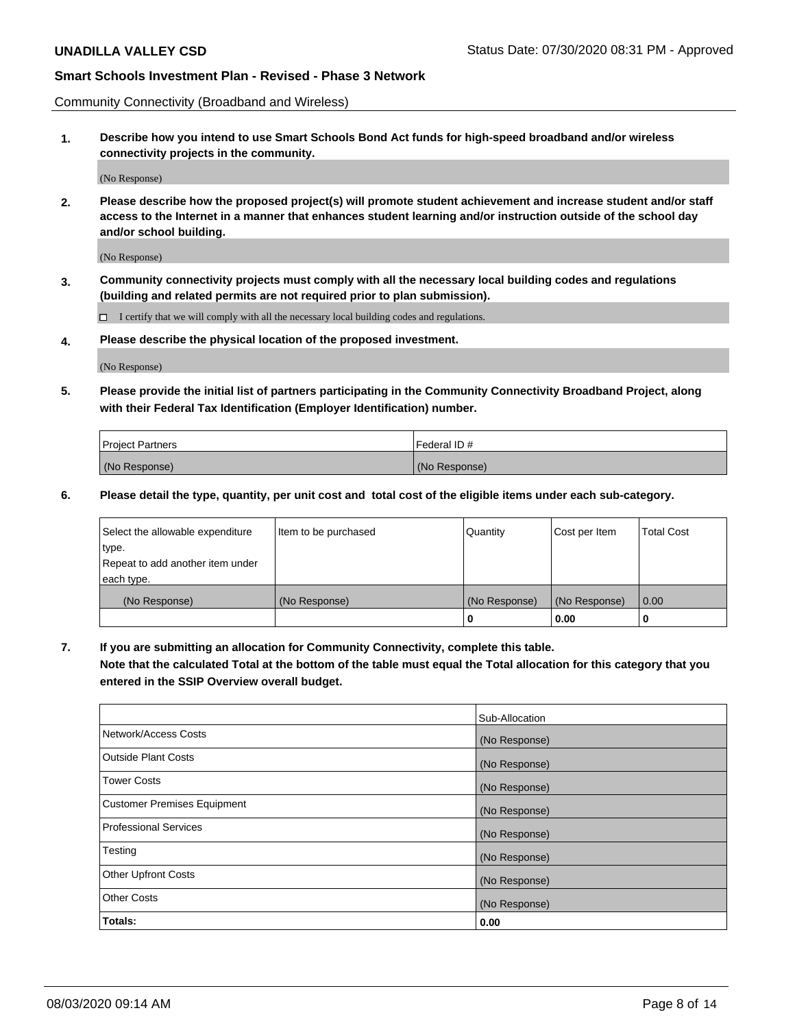Community Connectivity (Broadband and Wireless)

**1. Describe how you intend to use Smart Schools Bond Act funds for high-speed broadband and/or wireless connectivity projects in the community.**

(No Response)

**2. Please describe how the proposed project(s) will promote student achievement and increase student and/or staff access to the Internet in a manner that enhances student learning and/or instruction outside of the school day and/or school building.**

(No Response)

**3. Community connectivity projects must comply with all the necessary local building codes and regulations (building and related permits are not required prior to plan submission).**

 $\Box$  I certify that we will comply with all the necessary local building codes and regulations.

**4. Please describe the physical location of the proposed investment.**

(No Response)

**5. Please provide the initial list of partners participating in the Community Connectivity Broadband Project, along with their Federal Tax Identification (Employer Identification) number.**

| <b>Project Partners</b> | l Federal ID # |
|-------------------------|----------------|
| (No Response)           | (No Response)  |

**6. Please detail the type, quantity, per unit cost and total cost of the eligible items under each sub-category.**

| Select the allowable expenditure | Item to be purchased | Quantity      | Cost per Item | <b>Total Cost</b> |
|----------------------------------|----------------------|---------------|---------------|-------------------|
| type.                            |                      |               |               |                   |
| Repeat to add another item under |                      |               |               |                   |
| each type.                       |                      |               |               |                   |
| (No Response)                    | (No Response)        | (No Response) | (No Response) | 0.00              |
|                                  |                      | o             | 0.00          |                   |

**7. If you are submitting an allocation for Community Connectivity, complete this table.**

**Note that the calculated Total at the bottom of the table must equal the Total allocation for this category that you entered in the SSIP Overview overall budget.**

|                                    | Sub-Allocation |
|------------------------------------|----------------|
| Network/Access Costs               | (No Response)  |
| Outside Plant Costs                | (No Response)  |
| <b>Tower Costs</b>                 | (No Response)  |
| <b>Customer Premises Equipment</b> | (No Response)  |
| <b>Professional Services</b>       | (No Response)  |
| Testing                            | (No Response)  |
| <b>Other Upfront Costs</b>         | (No Response)  |
| <b>Other Costs</b>                 | (No Response)  |
| Totals:                            | 0.00           |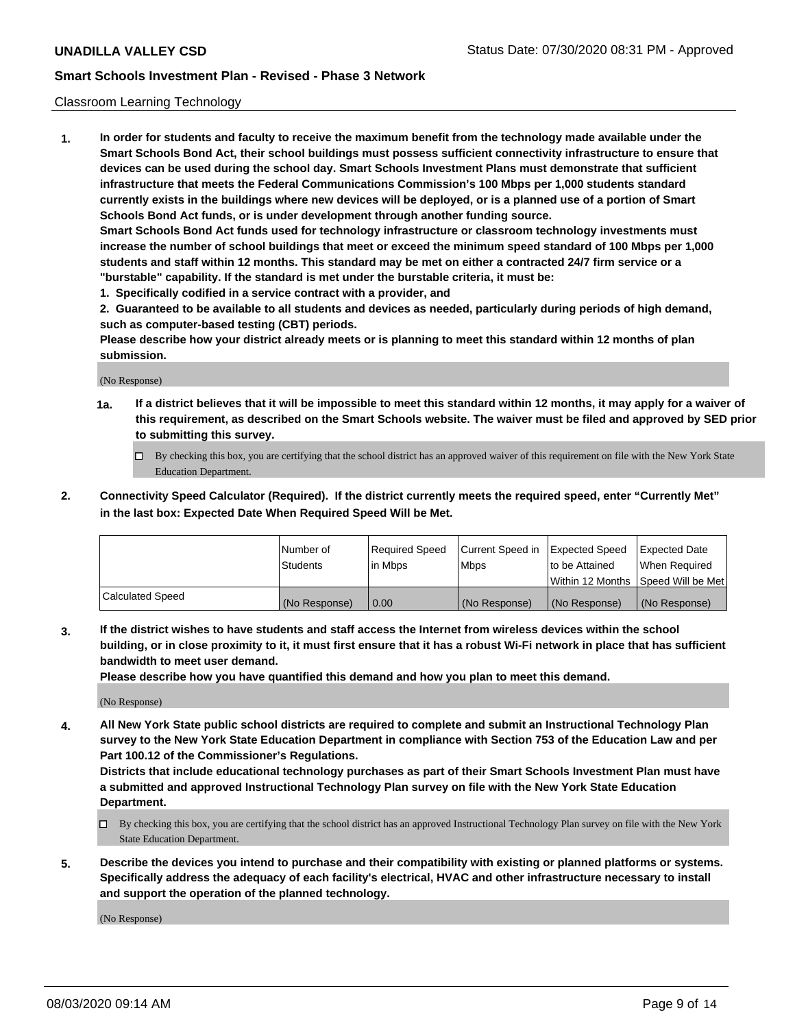#### Classroom Learning Technology

**1. In order for students and faculty to receive the maximum benefit from the technology made available under the Smart Schools Bond Act, their school buildings must possess sufficient connectivity infrastructure to ensure that devices can be used during the school day. Smart Schools Investment Plans must demonstrate that sufficient infrastructure that meets the Federal Communications Commission's 100 Mbps per 1,000 students standard currently exists in the buildings where new devices will be deployed, or is a planned use of a portion of Smart Schools Bond Act funds, or is under development through another funding source. Smart Schools Bond Act funds used for technology infrastructure or classroom technology investments must increase the number of school buildings that meet or exceed the minimum speed standard of 100 Mbps per 1,000 students and staff within 12 months. This standard may be met on either a contracted 24/7 firm service or a**

**"burstable" capability. If the standard is met under the burstable criteria, it must be:**

**1. Specifically codified in a service contract with a provider, and**

**2. Guaranteed to be available to all students and devices as needed, particularly during periods of high demand, such as computer-based testing (CBT) periods.**

**Please describe how your district already meets or is planning to meet this standard within 12 months of plan submission.**

(No Response)

- **1a. If a district believes that it will be impossible to meet this standard within 12 months, it may apply for a waiver of this requirement, as described on the Smart Schools website. The waiver must be filed and approved by SED prior to submitting this survey.**
	- By checking this box, you are certifying that the school district has an approved waiver of this requirement on file with the New York State Education Department.
- **2. Connectivity Speed Calculator (Required). If the district currently meets the required speed, enter "Currently Met" in the last box: Expected Date When Required Speed Will be Met.**

|                  | l Number of     | Required Speed | Current Speed in | <b>Expected Speed</b> | <b>Expected Date</b>                |
|------------------|-----------------|----------------|------------------|-----------------------|-------------------------------------|
|                  | <b>Students</b> | l in Mbps      | l Mbps           | to be Attained        | When Required                       |
|                  |                 |                |                  |                       | Within 12 Months  Speed Will be Met |
| Calculated Speed | (No Response)   | 0.00           | (No Response)    | l (No Response)       | (No Response)                       |

**3. If the district wishes to have students and staff access the Internet from wireless devices within the school building, or in close proximity to it, it must first ensure that it has a robust Wi-Fi network in place that has sufficient bandwidth to meet user demand.**

**Please describe how you have quantified this demand and how you plan to meet this demand.**

(No Response)

**4. All New York State public school districts are required to complete and submit an Instructional Technology Plan survey to the New York State Education Department in compliance with Section 753 of the Education Law and per Part 100.12 of the Commissioner's Regulations.**

**Districts that include educational technology purchases as part of their Smart Schools Investment Plan must have a submitted and approved Instructional Technology Plan survey on file with the New York State Education Department.**

- By checking this box, you are certifying that the school district has an approved Instructional Technology Plan survey on file with the New York State Education Department.
- **5. Describe the devices you intend to purchase and their compatibility with existing or planned platforms or systems. Specifically address the adequacy of each facility's electrical, HVAC and other infrastructure necessary to install and support the operation of the planned technology.**

(No Response)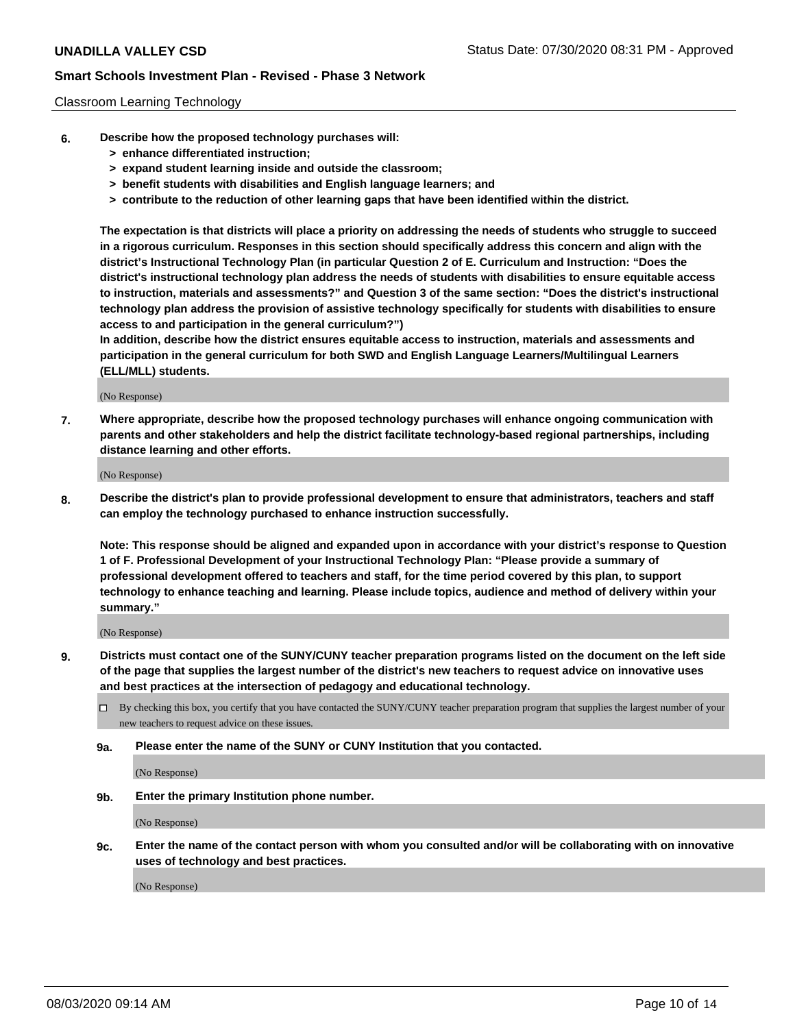#### Classroom Learning Technology

- **6. Describe how the proposed technology purchases will:**
	- **> enhance differentiated instruction;**
	- **> expand student learning inside and outside the classroom;**
	- **> benefit students with disabilities and English language learners; and**
	- **> contribute to the reduction of other learning gaps that have been identified within the district.**

**The expectation is that districts will place a priority on addressing the needs of students who struggle to succeed in a rigorous curriculum. Responses in this section should specifically address this concern and align with the district's Instructional Technology Plan (in particular Question 2 of E. Curriculum and Instruction: "Does the district's instructional technology plan address the needs of students with disabilities to ensure equitable access to instruction, materials and assessments?" and Question 3 of the same section: "Does the district's instructional technology plan address the provision of assistive technology specifically for students with disabilities to ensure access to and participation in the general curriculum?")**

**In addition, describe how the district ensures equitable access to instruction, materials and assessments and participation in the general curriculum for both SWD and English Language Learners/Multilingual Learners (ELL/MLL) students.**

(No Response)

**7. Where appropriate, describe how the proposed technology purchases will enhance ongoing communication with parents and other stakeholders and help the district facilitate technology-based regional partnerships, including distance learning and other efforts.**

(No Response)

**8. Describe the district's plan to provide professional development to ensure that administrators, teachers and staff can employ the technology purchased to enhance instruction successfully.**

**Note: This response should be aligned and expanded upon in accordance with your district's response to Question 1 of F. Professional Development of your Instructional Technology Plan: "Please provide a summary of professional development offered to teachers and staff, for the time period covered by this plan, to support technology to enhance teaching and learning. Please include topics, audience and method of delivery within your summary."**

(No Response)

- **9. Districts must contact one of the SUNY/CUNY teacher preparation programs listed on the document on the left side of the page that supplies the largest number of the district's new teachers to request advice on innovative uses and best practices at the intersection of pedagogy and educational technology.**
	- By checking this box, you certify that you have contacted the SUNY/CUNY teacher preparation program that supplies the largest number of your new teachers to request advice on these issues.
	- **9a. Please enter the name of the SUNY or CUNY Institution that you contacted.**

(No Response)

**9b. Enter the primary Institution phone number.**

(No Response)

**9c. Enter the name of the contact person with whom you consulted and/or will be collaborating with on innovative uses of technology and best practices.**

(No Response)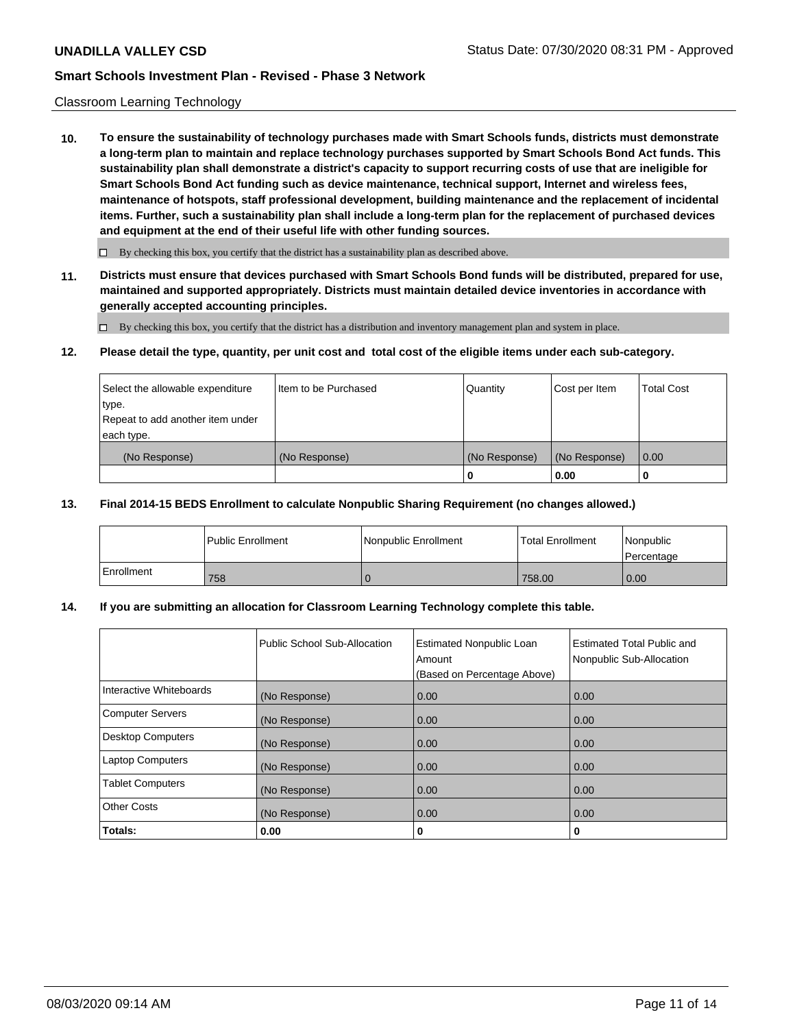#### Classroom Learning Technology

**10. To ensure the sustainability of technology purchases made with Smart Schools funds, districts must demonstrate a long-term plan to maintain and replace technology purchases supported by Smart Schools Bond Act funds. This sustainability plan shall demonstrate a district's capacity to support recurring costs of use that are ineligible for Smart Schools Bond Act funding such as device maintenance, technical support, Internet and wireless fees, maintenance of hotspots, staff professional development, building maintenance and the replacement of incidental items. Further, such a sustainability plan shall include a long-term plan for the replacement of purchased devices and equipment at the end of their useful life with other funding sources.**

 $\Box$  By checking this box, you certify that the district has a sustainability plan as described above.

**11. Districts must ensure that devices purchased with Smart Schools Bond funds will be distributed, prepared for use, maintained and supported appropriately. Districts must maintain detailed device inventories in accordance with generally accepted accounting principles.**

By checking this box, you certify that the district has a distribution and inventory management plan and system in place.

#### **12. Please detail the type, quantity, per unit cost and total cost of the eligible items under each sub-category.**

| Select the allowable expenditure<br>type.<br>Repeat to add another item under | Item to be Purchased | Quantity      | Cost per Item | <b>Total Cost</b> |
|-------------------------------------------------------------------------------|----------------------|---------------|---------------|-------------------|
| each type.<br>(No Response)                                                   | (No Response)        | (No Response) | (No Response) | 0.00              |
|                                                                               |                      | 0             | 0.00          |                   |

#### **13. Final 2014-15 BEDS Enrollment to calculate Nonpublic Sharing Requirement (no changes allowed.)**

|              | l Public Enrollment | <b>Nonpublic Enrollment</b> | <b>Total Enrollment</b> | Nonpublic<br>l Percentage |
|--------------|---------------------|-----------------------------|-------------------------|---------------------------|
| l Enrollment | 758                 |                             | 758.00                  | 0.00                      |

## **14. If you are submitting an allocation for Classroom Learning Technology complete this table.**

|                         | Public School Sub-Allocation | <b>Estimated Nonpublic Loan</b><br>Amount<br>(Based on Percentage Above) | Estimated Total Public and<br>Nonpublic Sub-Allocation |
|-------------------------|------------------------------|--------------------------------------------------------------------------|--------------------------------------------------------|
| Interactive Whiteboards | (No Response)                | 0.00                                                                     | 0.00                                                   |
| Computer Servers        | (No Response)                | 0.00                                                                     | 0.00                                                   |
| Desktop Computers       | (No Response)                | 0.00                                                                     | 0.00                                                   |
| <b>Laptop Computers</b> | (No Response)                | 0.00                                                                     | 0.00                                                   |
| <b>Tablet Computers</b> | (No Response)                | 0.00                                                                     | 0.00                                                   |
| Other Costs             | (No Response)                | 0.00                                                                     | 0.00                                                   |
| Totals:                 | 0.00                         | 0                                                                        | 0                                                      |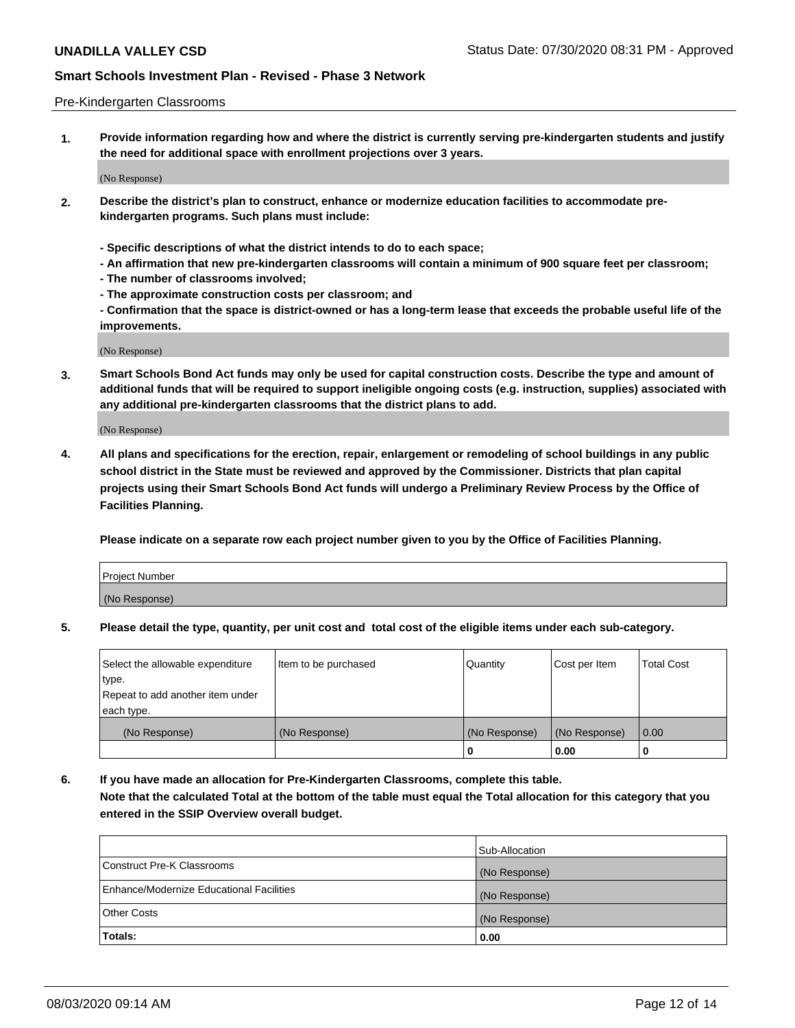#### Pre-Kindergarten Classrooms

**1. Provide information regarding how and where the district is currently serving pre-kindergarten students and justify the need for additional space with enrollment projections over 3 years.**

(No Response)

- **2. Describe the district's plan to construct, enhance or modernize education facilities to accommodate prekindergarten programs. Such plans must include:**
	- **Specific descriptions of what the district intends to do to each space;**
	- **An affirmation that new pre-kindergarten classrooms will contain a minimum of 900 square feet per classroom;**
	- **The number of classrooms involved;**
	- **The approximate construction costs per classroom; and**
	- **Confirmation that the space is district-owned or has a long-term lease that exceeds the probable useful life of the improvements.**

(No Response)

**3. Smart Schools Bond Act funds may only be used for capital construction costs. Describe the type and amount of additional funds that will be required to support ineligible ongoing costs (e.g. instruction, supplies) associated with any additional pre-kindergarten classrooms that the district plans to add.**

(No Response)

**4. All plans and specifications for the erection, repair, enlargement or remodeling of school buildings in any public school district in the State must be reviewed and approved by the Commissioner. Districts that plan capital projects using their Smart Schools Bond Act funds will undergo a Preliminary Review Process by the Office of Facilities Planning.**

**Please indicate on a separate row each project number given to you by the Office of Facilities Planning.**

| Project Number |  |
|----------------|--|
| (No Response)  |  |
|                |  |

**5. Please detail the type, quantity, per unit cost and total cost of the eligible items under each sub-category.**

| Select the allowable expenditure | Item to be purchased | Quantity      | Cost per Item | <b>Total Cost</b> |
|----------------------------------|----------------------|---------------|---------------|-------------------|
| type.                            |                      |               |               |                   |
| Repeat to add another item under |                      |               |               |                   |
| each type.                       |                      |               |               |                   |
| (No Response)                    | (No Response)        | (No Response) | (No Response) | 0.00              |
|                                  |                      | U             | 0.00          |                   |

**6. If you have made an allocation for Pre-Kindergarten Classrooms, complete this table. Note that the calculated Total at the bottom of the table must equal the Total allocation for this category that you entered in the SSIP Overview overall budget.**

|                                          | Sub-Allocation |
|------------------------------------------|----------------|
| Construct Pre-K Classrooms               | (No Response)  |
| Enhance/Modernize Educational Facilities | (No Response)  |
| <b>Other Costs</b>                       | (No Response)  |
| Totals:                                  | 0.00           |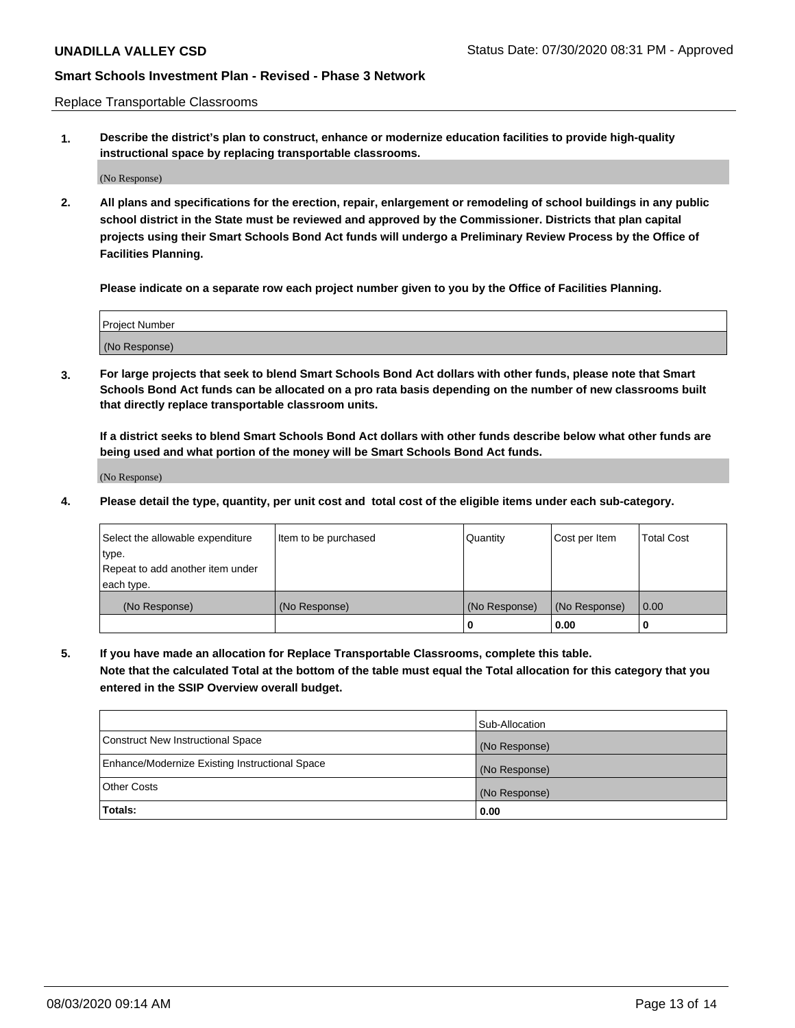Replace Transportable Classrooms

**1. Describe the district's plan to construct, enhance or modernize education facilities to provide high-quality instructional space by replacing transportable classrooms.**

(No Response)

**2. All plans and specifications for the erection, repair, enlargement or remodeling of school buildings in any public school district in the State must be reviewed and approved by the Commissioner. Districts that plan capital projects using their Smart Schools Bond Act funds will undergo a Preliminary Review Process by the Office of Facilities Planning.**

**Please indicate on a separate row each project number given to you by the Office of Facilities Planning.**

| Project Number |  |
|----------------|--|
|                |  |
|                |  |
|                |  |
|                |  |
| (No Response)  |  |
|                |  |
|                |  |
|                |  |

**3. For large projects that seek to blend Smart Schools Bond Act dollars with other funds, please note that Smart Schools Bond Act funds can be allocated on a pro rata basis depending on the number of new classrooms built that directly replace transportable classroom units.**

**If a district seeks to blend Smart Schools Bond Act dollars with other funds describe below what other funds are being used and what portion of the money will be Smart Schools Bond Act funds.**

(No Response)

**4. Please detail the type, quantity, per unit cost and total cost of the eligible items under each sub-category.**

| Select the allowable expenditure | Item to be purchased | Quantity      | Cost per Item | Total Cost |
|----------------------------------|----------------------|---------------|---------------|------------|
| ∣type.                           |                      |               |               |            |
| Repeat to add another item under |                      |               |               |            |
| each type.                       |                      |               |               |            |
| (No Response)                    | (No Response)        | (No Response) | (No Response) | 0.00       |
|                                  |                      | u             | 0.00          |            |

**5. If you have made an allocation for Replace Transportable Classrooms, complete this table. Note that the calculated Total at the bottom of the table must equal the Total allocation for this category that you entered in the SSIP Overview overall budget.**

|                                                | Sub-Allocation |
|------------------------------------------------|----------------|
| Construct New Instructional Space              | (No Response)  |
| Enhance/Modernize Existing Instructional Space | (No Response)  |
| Other Costs                                    | (No Response)  |
| Totals:                                        | 0.00           |